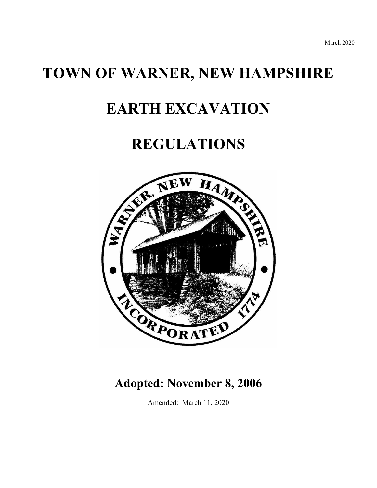# **TOWN OF WARNER, NEW HAMPSHIRE**

# **EARTH EXCAVATION**

# **REGULATIONS**



# **Adopted: November 8, 2006**

Amended: March 11, 2020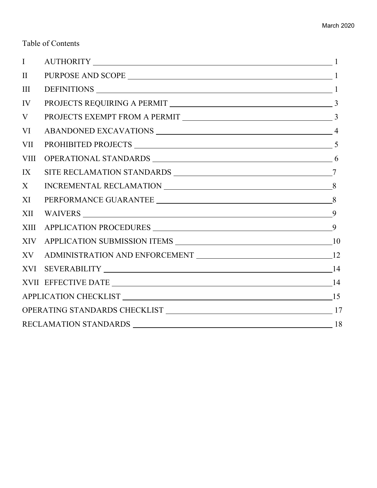# Table of Contents

| $\mathbf{I}$                              | AUTHORITY 1                                                                                                                                                                                                                                                                                                                                                                                                                                                                                         |  |
|-------------------------------------------|-----------------------------------------------------------------------------------------------------------------------------------------------------------------------------------------------------------------------------------------------------------------------------------------------------------------------------------------------------------------------------------------------------------------------------------------------------------------------------------------------------|--|
| $\mathbf{I}$                              |                                                                                                                                                                                                                                                                                                                                                                                                                                                                                                     |  |
| $\mathop{\rm III}$                        | DEFINITIONS 1                                                                                                                                                                                                                                                                                                                                                                                                                                                                                       |  |
| IV                                        |                                                                                                                                                                                                                                                                                                                                                                                                                                                                                                     |  |
| V                                         |                                                                                                                                                                                                                                                                                                                                                                                                                                                                                                     |  |
| VI                                        |                                                                                                                                                                                                                                                                                                                                                                                                                                                                                                     |  |
| VII                                       |                                                                                                                                                                                                                                                                                                                                                                                                                                                                                                     |  |
| VIII                                      |                                                                                                                                                                                                                                                                                                                                                                                                                                                                                                     |  |
| IX                                        |                                                                                                                                                                                                                                                                                                                                                                                                                                                                                                     |  |
| X                                         | $\begin{tabular}{c} {\bf INCREMENTAL RECLAMATION} \end{tabular} \begin{tabular}{c} \multicolumn{2}{c}{} & \multicolumn{2}{c}{} & \multicolumn{2}{c}{} \\ \multicolumn{2}{c}{} & \multicolumn{2}{c}{} \\ \multicolumn{2}{c}{} & \multicolumn{2}{c}{} \\ \multicolumn{2}{c}{} & \multicolumn{2}{c}{} \\ \multicolumn{2}{c}{} & \multicolumn{2}{c}{} \\ \multicolumn{2}{c}{} & \multicolumn{2}{c}{} \\ \multicolumn{2}{c}{} & \multicolumn{2}{c}{} \\ \multicolumn{2}{c}{} \\ \multicolumn{2}{c}{} \\$ |  |
| XI                                        |                                                                                                                                                                                                                                                                                                                                                                                                                                                                                                     |  |
| XII                                       |                                                                                                                                                                                                                                                                                                                                                                                                                                                                                                     |  |
| XIII                                      |                                                                                                                                                                                                                                                                                                                                                                                                                                                                                                     |  |
| XIV                                       |                                                                                                                                                                                                                                                                                                                                                                                                                                                                                                     |  |
| XV                                        |                                                                                                                                                                                                                                                                                                                                                                                                                                                                                                     |  |
|                                           | XVI SEVERABILITY 14                                                                                                                                                                                                                                                                                                                                                                                                                                                                                 |  |
|                                           |                                                                                                                                                                                                                                                                                                                                                                                                                                                                                                     |  |
| APPLICATION CHECKLIST 15                  |                                                                                                                                                                                                                                                                                                                                                                                                                                                                                                     |  |
|                                           |                                                                                                                                                                                                                                                                                                                                                                                                                                                                                                     |  |
| <b>RECLAMATION STANDARDS</b><br>$\sim$ 18 |                                                                                                                                                                                                                                                                                                                                                                                                                                                                                                     |  |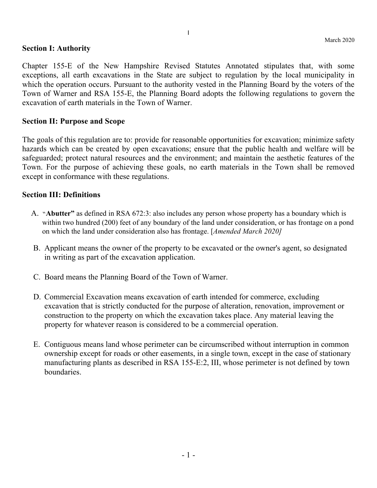#### **Section I: Authority**

Chapter 155-E of the New Hampshire Revised Statutes Annotated stipulates that, with some exceptions, all earth excavations in the State are subject to regulation by the local municipality in which the operation occurs. Pursuant to the authority vested in the Planning Board by the voters of the Town of Warner and RSA 155-E, the Planning Board adopts the following regulations to govern the excavation of earth materials in the Town of Warner.

# **Section II: Purpose and Scope**

The goals of this regulation are to: provide for reasonable opportunities for excavation; minimize safety hazards which can be created by open excavations; ensure that the public health and welfare will be safeguarded; protect natural resources and the environment; and maintain the aesthetic features of the Town. For the purpose of achieving these goals, no earth materials in the Town shall be removed except in conformance with these regulations.

#### **Section III: Definitions**

- A. "**Abutter"** as defined in RSA 672:3: also includes any person whose property has a boundary which is within two hundred (200) feet of any boundary of the land under consideration, or has frontage on a pond on which the land under consideration also has frontage. [*Amended March 2020]*
- B. Applicant means the owner of the property to be excavated or the owner's agent, so designated in writing as part of the excavation application.
- C. Board means the Planning Board of the Town of Warner.
- D. Commercial Excavation means excavation of earth intended for commerce, excluding excavation that is strictly conducted for the purpose of alteration, renovation, improvement or construction to the property on which the excavation takes place. Any material leaving the property for whatever reason is considered to be a commercial operation.
- E. Contiguous means land whose perimeter can be circumscribed without interruption in common ownership except for roads or other easements, in a single town, except in the case of stationary manufacturing plants as described in RSA 155-E:2, III, whose perimeter is not defined by town boundaries.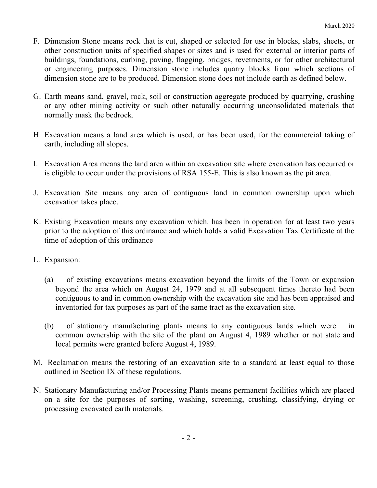- F. Dimension Stone means rock that is cut, shaped or selected for use in blocks, slabs, sheets, or other construction units of specified shapes or sizes and is used for external or interior parts of buildings, foundations, curbing, paving, flagging, bridges, revetments, or for other architectural or engineering purposes. Dimension stone includes quarry blocks from which sections of dimension stone are to be produced. Dimension stone does not include earth as defined below.
- G. Earth means sand, gravel, rock, soil or construction aggregate produced by quarrying, crushing or any other mining activity or such other naturally occurring unconsolidated materials that normally mask the bedrock.
- H. Excavation means a land area which is used, or has been used, for the commercial taking of earth, including all slopes.
- I. Excavation Area means the land area within an excavation site where excavation has occurred or is eligible to occur under the provisions of RSA 155-E. This is also known as the pit area.
- J. Excavation Site means any area of contiguous land in common ownership upon which excavation takes place.
- K. Existing Excavation means any excavation which. has been in operation for at least two years prior to the adoption of this ordinance and which holds a valid Excavation Tax Certificate at the time of adoption of this ordinance
- L. Expansion:
	- (a) of existing excavations means excavation beyond the limits of the Town or expansion beyond the area which on August 24, 1979 and at all subsequent times thereto had been contiguous to and in common ownership with the excavation site and has been appraised and inventoried for tax purposes as part of the same tract as the excavation site.
	- (b) of stationary manufacturing plants means to any contiguous lands which were in common ownership with the site of the plant on August 4, 1989 whether or not state and local permits were granted before August 4, 1989.
- M. Reclamation means the restoring of an excavation site to a standard at least equal to those outlined in Section IX of these regulations.
- N. Stationary Manufacturing and/or Processing Plants means permanent facilities which are placed on a site for the purposes of sorting, washing, screening, crushing, classifying, drying or processing excavated earth materials.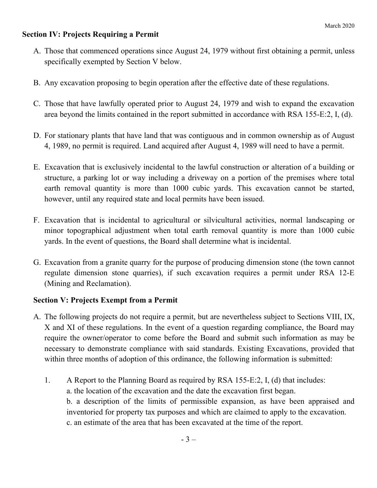# **Section IV: Projects Requiring a Permit**

- A. Those that commenced operations since August 24, 1979 without first obtaining a permit, unless specifically exempted by Section V below.
- B. Any excavation proposing to begin operation after the effective date of these regulations.
- C. Those that have lawfully operated prior to August 24, 1979 and wish to expand the excavation area beyond the limits contained in the report submitted in accordance with RSA 155-E:2, I, (d).
- D. For stationary plants that have land that was contiguous and in common ownership as of August 4, 1989, no permit is required. Land acquired after August 4, 1989 will need to have a permit.
- E. Excavation that is exclusively incidental to the lawful construction or alteration of a building or structure, a parking lot or way including a driveway on a portion of the premises where total earth removal quantity is more than 1000 cubic yards. This excavation cannot be started, however, until any required state and local permits have been issued.
- F. Excavation that is incidental to agricultural or silvicultural activities, normal landscaping or minor topographical adjustment when total earth removal quantity is more than 1000 cubic yards. In the event of questions, the Board shall determine what is incidental.
- G. Excavation from a granite quarry for the purpose of producing dimension stone (the town cannot regulate dimension stone quarries), if such excavation requires a permit under RSA 12-E (Mining and Reclamation).

# **Section V: Projects Exempt from a Permit**

- A. The following projects do not require a permit, but are nevertheless subject to Sections VIII, IX, X and XI of these regulations. In the event of a question regarding compliance, the Board may require the owner/operator to come before the Board and submit such information as may be necessary to demonstrate compliance with said standards. Existing Excavations, provided that within three months of adoption of this ordinance, the following information is submitted:
	- 1. A Report to the Planning Board as required by RSA 155-E:2, I, (d) that includes: a. the location of the excavation and the date the excavation first began. b. a description of the limits of permissible expansion, as have been appraised and inventoried for property tax purposes and which are claimed to apply to the excavation. c. an estimate of the area that has been excavated at the time of the report.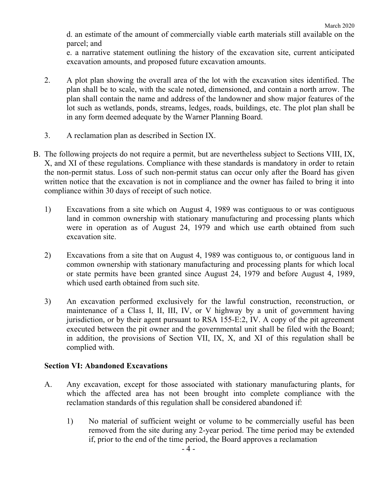d. an estimate of the amount of commercially viable earth materials still available on the parcel; and

e. a narrative statement outlining the history of the excavation site, current anticipated excavation amounts, and proposed future excavation amounts.

- 2. A plot plan showing the overall area of the lot with the excavation sites identified. The plan shall be to scale, with the scale noted, dimensioned, and contain a north arrow. The plan shall contain the name and address of the landowner and show major features of the lot such as wetlands, ponds, streams, ledges, roads, buildings, etc. The plot plan shall be in any form deemed adequate by the Warner Planning Board.
- 3. A reclamation plan as described in Section IX.
- B. The following projects do not require a permit, but are nevertheless subject to Sections VIII, IX, X, and XI of these regulations. Compliance with these standards is mandatory in order to retain the non-permit status. Loss of such non-permit status can occur only after the Board has given written notice that the excavation is not in compliance and the owner has failed to bring it into compliance within 30 days of receipt of such notice.
	- 1) Excavations from a site which on August 4, 1989 was contiguous to or was contiguous land in common ownership with stationary manufacturing and processing plants which were in operation as of August 24, 1979 and which use earth obtained from such excavation site.
	- 2) Excavations from a site that on August 4, 1989 was contiguous to, or contiguous land in common ownership with stationary manufacturing and processing plants for which local or state permits have been granted since August 24, 1979 and before August 4, 1989, which used earth obtained from such site.
	- 3) An excavation performed exclusively for the lawful construction, reconstruction, or maintenance of a Class I, II, III, IV, or V highway by a unit of government having jurisdiction, or by their agent pursuant to RSA 155-E:2, IV. A copy of the pit agreement executed between the pit owner and the governmental unit shall be filed with the Board; in addition, the provisions of Section VII, IX, X, and XI of this regulation shall be complied with.

# **Section VI: Abandoned Excavations**

- A. Any excavation, except for those associated with stationary manufacturing plants, for which the affected area has not been brought into complete compliance with the reclamation standards of this regulation shall be considered abandoned if:
	- 1) No material of sufficient weight or volume to be commercially useful has been removed from the site during any 2-year period. The time period may be extended if, prior to the end of the time period, the Board approves a reclamation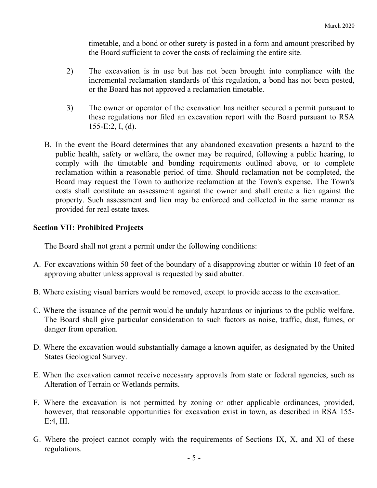timetable, and a bond or other surety is posted in a form and amount prescribed by the Board sufficient to cover the costs of reclaiming the entire site.

- 2) The excavation is in use but has not been brought into compliance with the incremental reclamation standards of this regulation, a bond has not been posted, or the Board has not approved a reclamation timetable.
- 3) The owner or operator of the excavation has neither secured a permit pursuant to these regulations nor filed an excavation report with the Board pursuant to RSA 155-E:2, I, (d).
- B. In the event the Board determines that any abandoned excavation presents a hazard to the public health, safety or welfare, the owner may be required, following a public hearing, to comply with the timetable and bonding requirements outlined above, or to complete reclamation within a reasonable period of time. Should reclamation not be completed, the Board may request the Town to authorize reclamation at the Town's expense. The Town's costs shall constitute an assessment against the owner and shall create a lien against the property. Such assessment and lien may be enforced and collected in the same manner as provided for real estate taxes.

#### **Section VII: Prohibited Projects**

The Board shall not grant a permit under the following conditions:

- A. For excavations within 50 feet of the boundary of a disapproving abutter or within 10 feet of an approving abutter unless approval is requested by said abutter.
- B. Where existing visual barriers would be removed, except to provide access to the excavation.
- C. Where the issuance of the permit would be unduly hazardous or injurious to the public welfare. The Board shall give particular consideration to such factors as noise, traffic, dust, fumes, or danger from operation.
- D. Where the excavation would substantially damage a known aquifer, as designated by the United States Geological Survey.
- E. When the excavation cannot receive necessary approvals from state or federal agencies, such as Alteration of Terrain or Wetlands permits.
- F. Where the excavation is not permitted by zoning or other applicable ordinances, provided, however, that reasonable opportunities for excavation exist in town, as described in RSA 155- E:4, III.
- G. Where the project cannot comply with the requirements of Sections IX, X, and XI of these regulations.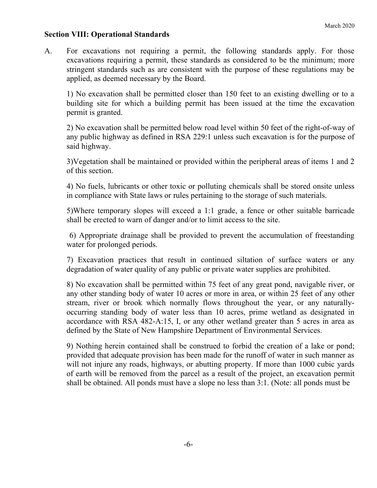# **Section VIII: Operational Standards**

A. For excavations not requiring a permit, the following standards apply. For those excavations requiring a permit, these standards as considered to be the minimum; more stringent standards such as are consistent with the purpose of these regulations may be applied, as deemed necessary by the Board.

1) No excavation shall be permitted closer than 150 feet to an existing dwelling or to a building site for which a building permit has been issued at the time the excavation permit is granted.

2) No excavation shall be permitted below road level within 50 feet of the right-of-way of any public highway as defined in RSA 229:1 unless such excavation is for the purpose of said highway.

3)Vegetation shall be maintained or provided within the peripheral areas of items 1 and 2 of this section.

4) No fuels, lubricants or other toxic or polluting chemicals shall be stored onsite unless in compliance with State laws or rules pertaining to the storage of such materials.

5)Where temporary slopes will exceed a 1:1 grade, a fence or other suitable barricade shall be erected to warn of danger and/or to limit access to the site.

 6) Appropriate drainage shall be provided to prevent the accumulation of freestanding water for prolonged periods.

7) Excavation practices that result in continued siltation of surface waters or any degradation of water quality of any public or private water supplies are prohibited.

8) No excavation shall be permitted within 75 feet of any great pond, navigable river, or any other standing body of water 10 acres or more in area, or within 25 feet of any other stream, river or brook which normally flows throughout the year, or any naturallyoccurring standing body of water less than 10 acres, prime wetland as designated in accordance with RSA 482-A:15, I, or any other wetland greater than 5 acres in area as defined by the State of New Hampshire Department of Environmental Services.

9) Nothing herein contained shall be construed to forbid the creation of a lake or pond; provided that adequate provision has been made for the runoff of water in such manner as will not injure any roads, highways, or abutting property. If more than 1000 cubic yards of earth will be removed from the parcel as a result of the project, an excavation permit shall be obtained. All ponds must have a slope no less than 3:1. (Note: all ponds must be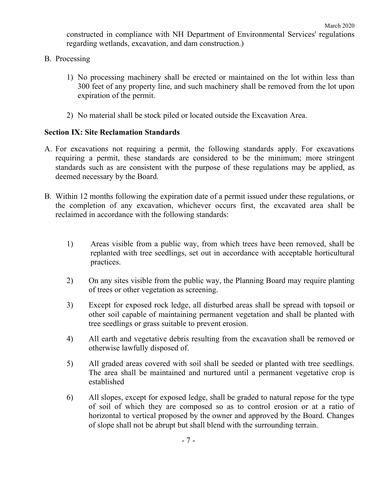constructed in compliance with NH Department of Environmental Services' regulations regarding wetlands, excavation, and dam construction.)

- B. Processing
	- 1) No processing machinery shall be erected or maintained on the lot within less than 300 feet of any property line, and such machinery shall be removed from the lot upon expiration of the permit.
	- 2) No material shall be stock piled or located outside the Excavation Area.

#### **Section IX: Site Reclamation Standards**

- A. For excavations not requiring a permit, the following standards apply. For excavations requiring a permit, these standards are considered to be the minimum; more stringent standards such as are consistent with the purpose of these regulations may be applied, as deemed necessary by the Board.
- B. Within 12 months following the expiration date of a permit issued under these regulations, or the completion of any excavation, whichever occurs first, the excavated area shall be reclaimed in accordance with the following standards:
	- 1) Areas visible from a public way, from which trees have been removed, shall be replanted with tree seedlings, set out in accordance with acceptable horticultural practices.
	- 2) On any sites visible from the public way, the Planning Board may require planting of trees or other vegetation as screening.
	- 3) Except for exposed rock ledge, all disturbed areas shall be spread with topsoil or other soil capable of maintaining permanent vegetation and shall be planted with tree seedlings or grass suitable to prevent erosion.
	- 4) All earth and vegetative debris resulting from the excavation shall be removed or otherwise lawfully disposed of.
	- 5) All graded areas covered with soil shall be seeded or planted with tree seedlings. The area shall be maintained and nurtured until a permanent vegetative crop is established
	- 6) All slopes, except for exposed ledge, shall be graded to natural repose for the type of soil of which they are composed so as to control erosion or at a ratio of horizontal to vertical proposed by the owner and approved by the Board. Changes of slope shall not be abrupt but shall blend with the surrounding terrain.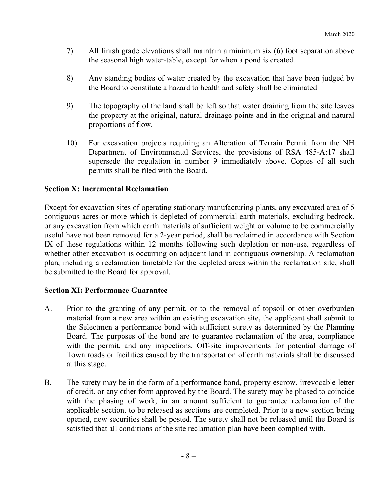- 7) All finish grade elevations shall maintain a minimum six (6) foot separation above the seasonal high water-table, except for when a pond is created.
- 8) Any standing bodies of water created by the excavation that have been judged by the Board to constitute a hazard to health and safety shall be eliminated.
- 9) The topography of the land shall be left so that water draining from the site leaves the property at the original, natural drainage points and in the original and natural proportions of flow.
- 10) For excavation projects requiring an Alteration of Terrain Permit from the NH Department of Environmental Services, the provisions of RSA 485-A:17 shall supersede the regulation in number 9 immediately above. Copies of all such permits shall be filed with the Board.

# **Section X: Incremental Reclamation**

Except for excavation sites of operating stationary manufacturing plants, any excavated area of 5 contiguous acres or more which is depleted of commercial earth materials, excluding bedrock, or any excavation from which earth materials of sufficient weight or volume to be commercially useful have not been removed for a 2-year period, shall be reclaimed in accordance with Section IX of these regulations within 12 months following such depletion or non-use, regardless of whether other excavation is occurring on adjacent land in contiguous ownership. A reclamation plan, including a reclamation timetable for the depleted areas within the reclamation site, shall be submitted to the Board for approval.

# **Section XI: Performance Guarantee**

- A. Prior to the granting of any permit, or to the removal of topsoil or other overburden material from a new area within an existing excavation site, the applicant shall submit to the Selectmen a performance bond with sufficient surety as determined by the Planning Board. The purposes of the bond are to guarantee reclamation of the area, compliance with the permit, and any inspections. Off-site improvements for potential damage of Town roads or facilities caused by the transportation of earth materials shall be discussed at this stage.
- B. The surety may be in the form of a performance bond, property escrow, irrevocable letter of credit, or any other form approved by the Board. The surety may be phased to coincide with the phasing of work, in an amount sufficient to guarantee reclamation of the applicable section, to be released as sections are completed. Prior to a new section being opened, new securities shall be posted. The surety shall not be released until the Board is satisfied that all conditions of the site reclamation plan have been complied with.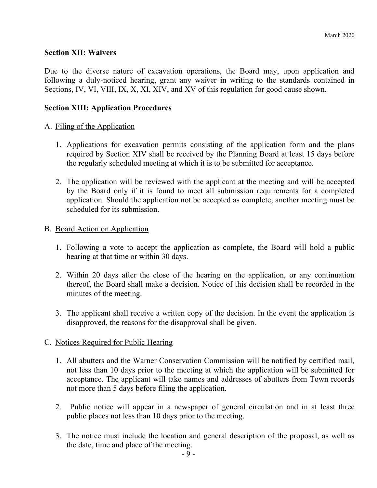#### **Section XII: Waivers**

Due to the diverse nature of excavation operations, the Board may, upon application and following a duly-noticed hearing, grant any waiver in writing to the standards contained in Sections, IV, VI, VIII, IX, X, XI, XIV, and XV of this regulation for good cause shown.

#### **Section XIII: Application Procedures**

#### A. Filing of the Application

- 1. Applications for excavation permits consisting of the application form and the plans required by Section XIV shall be received by the Planning Board at least 15 days before the regularly scheduled meeting at which it is to be submitted for acceptance.
- 2. The application will be reviewed with the applicant at the meeting and will be accepted by the Board only if it is found to meet all submission requirements for a completed application. Should the application not be accepted as complete, another meeting must be scheduled for its submission.

#### B. Board Action on Application

- 1. Following a vote to accept the application as complete, the Board will hold a public hearing at that time or within 30 days.
- 2. Within 20 days after the close of the hearing on the application, or any continuation thereof, the Board shall make a decision. Notice of this decision shall be recorded in the minutes of the meeting.
- 3. The applicant shall receive a written copy of the decision. In the event the application is disapproved, the reasons for the disapproval shall be given.

# C. Notices Required for Public Hearing

- 1. All abutters and the Warner Conservation Commission will be notified by certified mail, not less than 10 days prior to the meeting at which the application will be submitted for acceptance. The applicant will take names and addresses of abutters from Town records not more than 5 days before filing the application.
- 2. Public notice will appear in a newspaper of general circulation and in at least three public places not less than 10 days prior to the meeting.
- 3. The notice must include the location and general description of the proposal, as well as the date, time and place of the meeting.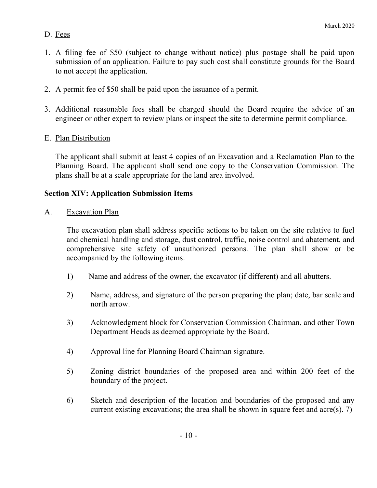# D. Fees

- 1. A filing fee of \$50 (subject to change without notice) plus postage shall be paid upon submission of an application. Failure to pay such cost shall constitute grounds for the Board to not accept the application.
- 2. A permit fee of \$50 shall be paid upon the issuance of a permit.
- 3. Additional reasonable fees shall be charged should the Board require the advice of an engineer or other expert to review plans or inspect the site to determine permit compliance.
- E. Plan Distribution

The applicant shall submit at least 4 copies of an Excavation and a Reclamation Plan to the Planning Board. The applicant shall send one copy to the Conservation Commission. The plans shall be at a scale appropriate for the land area involved.

# **Section XIV: Application Submission Items**

A. Excavation Plan

The excavation plan shall address specific actions to be taken on the site relative to fuel and chemical handling and storage, dust control, traffic, noise control and abatement, and comprehensive site safety of unauthorized persons. The plan shall show or be accompanied by the following items:

- 1) Name and address of the owner, the excavator (if different) and all abutters.
- 2) Name, address, and signature of the person preparing the plan; date, bar scale and north arrow.
- 3) Acknowledgment block for Conservation Commission Chairman, and other Town Department Heads as deemed appropriate by the Board.
- 4) Approval line for Planning Board Chairman signature.
- 5) Zoning district boundaries of the proposed area and within 200 feet of the boundary of the project.
- 6) Sketch and description of the location and boundaries of the proposed and any current existing excavations; the area shall be shown in square feet and acre(s). 7)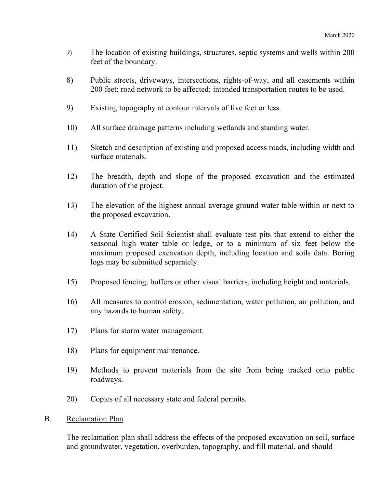- 7) The location of existing buildings, structures, septic systems and wells within 200 feet of the boundary.
- 8) Public streets, driveways, intersections, rights-of-way, and all easements within 200 feet; road network to be affected; intended transportation routes to be used.
- 9) Existing topography at contour intervals of five feet or less.
- 10) All surface drainage patterns including wetlands and standing water.
- 11) Sketch and description of existing and proposed access roads, including width and surface materials.
- 12) The breadth, depth and slope of the proposed excavation and the estimated duration of the project.
- 13) The elevation of the highest annual average ground water table within or next to the proposed excavation.
- 14) A State Certified Soil Scientist shall evaluate test pits that extend to either the seasonal high water table or ledge, or to a minimum of six feet below the maximum proposed excavation depth, including location and soils data. Boring logs may be submitted separately.
- 15) Proposed fencing, buffers or other visual barriers, including height and materials.
- 16) All measures to control erosion, sedimentation, water pollution, air pollution, and any hazards to human safety.
- 17) Plans for storm water management.
- 18) Plans for equipment maintenance.
- 19) Methods to prevent materials from the site from being tracked onto public roadways.
- 20) Copies of all necessary state and federal permits.
- B. Reclamation Plan

The reclamation plan shall address the effects of the proposed excavation on soil, surface and groundwater, vegetation, overburden, topography, and fill material, and should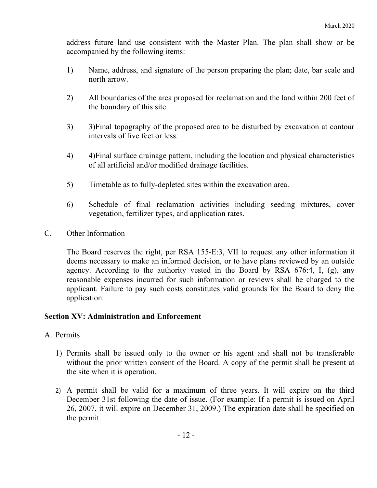address future land use consistent with the Master Plan. The plan shall show or be accompanied by the following items:

- 1) Name, address, and signature of the person preparing the plan; date, bar scale and north arrow.
- 2) All boundaries of the area proposed for reclamation and the land within 200 feet of the boundary of this site
- 3) 3)Final topography of the proposed area to be disturbed by excavation at contour intervals of five feet or less.
- 4) 4)Final surface drainage pattern, including the location and physical characteristics of all artificial and/or modified drainage facilities.
- 5) Timetable as to fully-depleted sites within the excavation area.
- 6) Schedule of final reclamation activities including seeding mixtures, cover vegetation, fertilizer types, and application rates.
- C. Other Information

The Board reserves the right, per RSA 155-E:3, VII to request any other information it deems necessary to make an informed decision, or to have plans reviewed by an outside agency. According to the authority vested in the Board by RSA 676:4, I, (g), any reasonable expenses incurred for such information or reviews shall be charged to the applicant. Failure to pay such costs constitutes valid grounds for the Board to deny the application.

# **Section XV: Administration and Enforcement**

# A. Permits

- 1) Permits shall be issued only to the owner or his agent and shall not be transferable without the prior written consent of the Board. A copy of the permit shall be present at the site when it is operation.
- 2) A permit shall be valid for a maximum of three years. It will expire on the third December 31st following the date of issue. (For example: If a permit is issued on April 26, 2007, it will expire on December 31, 2009.) The expiration date shall be specified on the permit.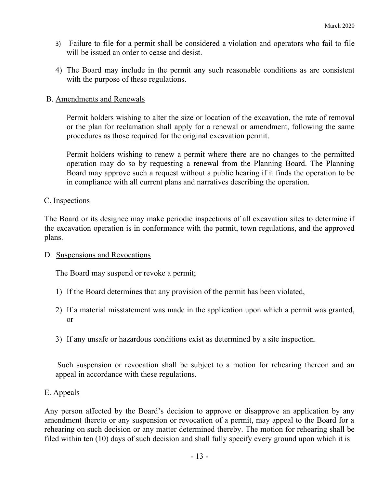- 3) Failure to file for a permit shall be considered a violation and operators who fail to file will be issued an order to cease and desist.
- 4) The Board may include in the permit any such reasonable conditions as are consistent with the purpose of these regulations.

# B. Amendments and Renewals

Permit holders wishing to alter the size or location of the excavation, the rate of removal or the plan for reclamation shall apply for a renewal or amendment, following the same procedures as those required for the original excavation permit.

Permit holders wishing to renew a permit where there are no changes to the permitted operation may do so by requesting a renewal from the Planning Board. The Planning Board may approve such a request without a public hearing if it finds the operation to be in compliance with all current plans and narratives describing the operation.

#### C. Inspections

The Board or its designee may make periodic inspections of all excavation sites to determine if the excavation operation is in conformance with the permit, town regulations, and the approved plans.

#### D. Suspensions and Revocations

The Board may suspend or revoke a permit;

- 1) If the Board determines that any provision of the permit has been violated,
- 2) If a material misstatement was made in the application upon which a permit was granted, or
- 3) If any unsafe or hazardous conditions exist as determined by a site inspection.

Such suspension or revocation shall be subject to a motion for rehearing thereon and an appeal in accordance with these regulations.

# E. Appeals

Any person affected by the Board's decision to approve or disapprove an application by any amendment thereto or any suspension or revocation of a permit, may appeal to the Board for a rehearing on such decision or any matter determined thereby. The motion for rehearing shall be filed within ten (10) days of such decision and shall fully specify every ground upon which it is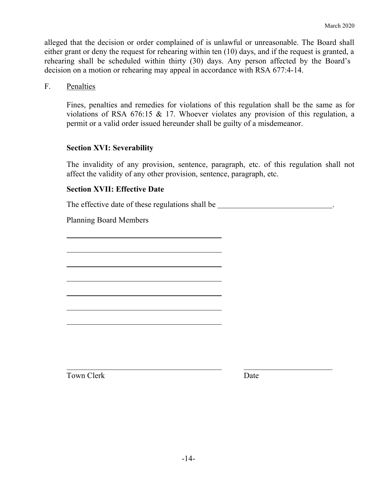alleged that the decision or order complained of is unlawful or unreasonable. The Board shall either grant or deny the request for rehearing within ten (10) days, and if the request is granted, a rehearing shall be scheduled within thirty (30) days. Any person affected by the Board's decision on a motion or rehearing may appeal in accordance with RSA 677:4-14.

F. Penalties

 $\overline{a}$ 

 $\overline{a}$ 

 $\overline{a}$ 

 $\overline{a}$ 

 $\overline{a}$ 

 $\overline{a}$ 

 $\overline{a}$ 

 $\overline{a}$ 

Fines, penalties and remedies for violations of this regulation shall be the same as for violations of RSA 676:15 & 17. Whoever violates any provision of this regulation, a permit or a valid order issued hereunder shall be guilty of a misdemeanor.

# **Section XVI: Severability**

The invalidity of any provision, sentence, paragraph, etc. of this regulation shall not affect the validity of any other provision, sentence, paragraph, etc.

# **Section XVII: Effective Date**

The effective date of these regulations shall be \_\_\_\_\_\_\_\_\_\_\_\_\_\_\_\_\_\_\_\_\_\_\_\_\_\_\_\_\_\_\_.

Planning Board Members

Town Clerk Date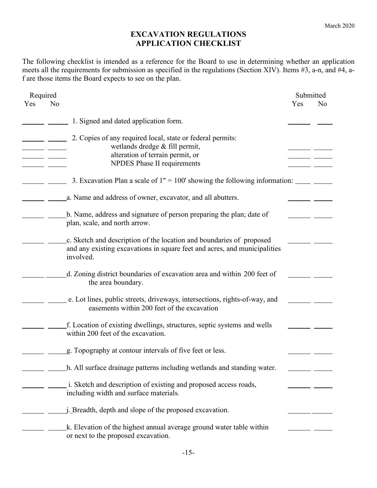# **EXCAVATION REGULATIONS APPLICATION CHECKLIST**

The following checklist is intended as a reference for the Board to use in determining whether an application meets all the requirements for submission as specified in the regulations (Section XIV). Items #3, a-n, and #4, af are those items the Board expects to see on the plan.

| Required              |                                                                                                                                                                |     | Submitted      |
|-----------------------|----------------------------------------------------------------------------------------------------------------------------------------------------------------|-----|----------------|
| Yes<br>N <sub>o</sub> |                                                                                                                                                                | Yes | N <sub>o</sub> |
|                       | 1. Signed and dated application form.                                                                                                                          |     |                |
|                       | 2. Copies of any required local, state or federal permits:<br>wetlands dredge & fill permit,<br>alteration of terrain permit, or                               |     |                |
|                       | NPDES Phase II requirements                                                                                                                                    |     |                |
|                       | 3. Excavation Plan a scale of $1" = 100'$ showing the following information:                                                                                   |     |                |
|                       | a. Name and address of owner, excavator, and all abutters.                                                                                                     |     |                |
|                       | b. Name, address and signature of person preparing the plan; date of<br>plan, scale, and north arrow.                                                          |     |                |
|                       | c. Sketch and description of the location and boundaries of proposed<br>and any existing excavations in square feet and acres, and municipalities<br>involved. |     |                |
|                       | d. Zoning district boundaries of excavation area and within 200 feet of<br>the area boundary.                                                                  |     |                |
|                       | e. Lot lines, public streets, driveways, intersections, rights-of-way, and<br>easements within 200 feet of the excavation                                      |     |                |
|                       | f. Location of existing dwellings, structures, septic systems and wells<br>within 200 feet of the excavation.                                                  |     |                |
|                       | g. Topography at contour intervals of five feet or less.                                                                                                       |     |                |
|                       | h. All surface drainage patterns including wetlands and standing water.                                                                                        |     |                |
|                       | i. Sketch and description of existing and proposed access roads,<br>including width and surface materials.                                                     |     |                |
|                       | <i>i</i> . Breadth, depth and slope of the proposed excavation.                                                                                                |     |                |
|                       | k. Elevation of the highest annual average ground water table within<br>or next to the proposed excavation.                                                    |     |                |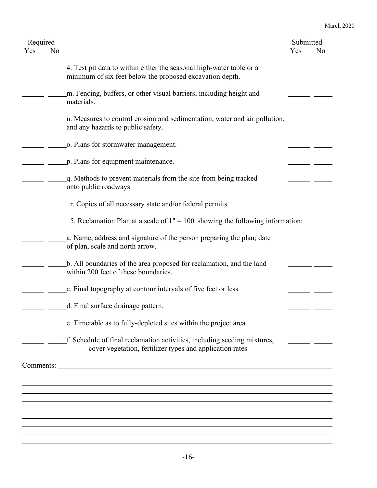| Required<br>Yes | No |                                                                                                                                      | Submitted<br>Yes | No |
|-----------------|----|--------------------------------------------------------------------------------------------------------------------------------------|------------------|----|
|                 |    | 4. Test pit data to within either the seasonal high-water table or a<br>minimum of six feet below the proposed excavation depth.     |                  |    |
|                 |    | m. Fencing, buffers, or other visual barriers, including height and<br>materials.                                                    |                  |    |
|                 |    | n. Measures to control erosion and sedimentation, water and air pollution,<br>and any hazards to public safety.                      |                  |    |
|                 |    | o. Plans for stormwater management.                                                                                                  |                  |    |
|                 |    | p. Plans for equipment maintenance.                                                                                                  |                  |    |
|                 |    | q. Methods to prevent materials from the site from being tracked<br>onto public roadways                                             |                  |    |
|                 |    | r. Copies of all necessary state and/or federal permits.                                                                             |                  |    |
|                 |    | 5. Reclamation Plan at a scale of $1" = 100'$ showing the following information:                                                     |                  |    |
|                 |    | a. Name, address and signature of the person preparing the plan; date<br>of plan, scale and north arrow.                             |                  |    |
|                 |    | b. All boundaries of the area proposed for reclamation, and the land<br>within 200 feet of these boundaries.                         |                  |    |
|                 |    | c. Final topography at contour intervals of five feet or less                                                                        |                  |    |
|                 |    | d. Final surface drainage pattern.                                                                                                   |                  |    |
|                 |    | e. Timetable as to fully-depleted sites within the project area                                                                      |                  |    |
|                 |    | f. Schedule of final reclamation activities, including seeding mixtures,<br>cover vegetation, fertilizer types and application rates |                  |    |
|                 |    |                                                                                                                                      |                  |    |
|                 |    |                                                                                                                                      |                  |    |
|                 |    |                                                                                                                                      |                  |    |
|                 |    |                                                                                                                                      |                  |    |
|                 |    |                                                                                                                                      |                  |    |
|                 |    |                                                                                                                                      |                  |    |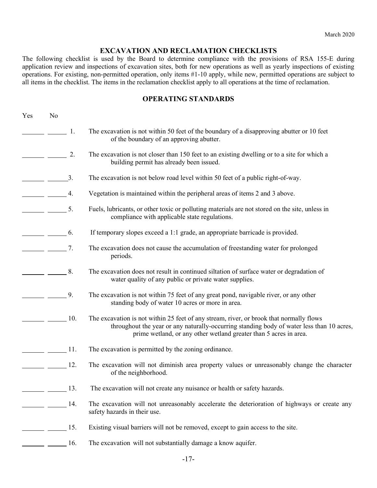#### **EXCAVATION AND RECLAMATION CHECKLISTS**

The following checklist is used by the Board to determine compliance with the provisions of RSA 155-E during application review and inspections of excavation sites, both for new operations as well as yearly inspections of existing operations. For existing, non-permitted operation, only items #1-10 apply, while new, permitted operations are subject to all items in the checklist. The items in the reclamation checklist apply to all operations at the time of reclamation.

#### **OPERATING STANDARDS**

| Yes | No                                                                                                                                                                                                                                                                                                                                                                                                                              |        |                                                                                                                                                                                                                                                           |
|-----|---------------------------------------------------------------------------------------------------------------------------------------------------------------------------------------------------------------------------------------------------------------------------------------------------------------------------------------------------------------------------------------------------------------------------------|--------|-----------------------------------------------------------------------------------------------------------------------------------------------------------------------------------------------------------------------------------------------------------|
|     |                                                                                                                                                                                                                                                                                                                                                                                                                                 | 1.     | The excavation is not within 50 feet of the boundary of a disapproving abutter or 10 feet<br>of the boundary of an approving abutter.                                                                                                                     |
|     |                                                                                                                                                                                                                                                                                                                                                                                                                                 | 2.     | The excavation is not closer than 150 feet to an existing dwelling or to a site for which a<br>building permit has already been issued.                                                                                                                   |
|     | $\frac{3}{2}$                                                                                                                                                                                                                                                                                                                                                                                                                   |        | The excavation is not below road level within 50 feet of a public right-of-way.                                                                                                                                                                           |
|     | $\frac{1}{\sqrt{1-\frac{1}{2}}}\frac{4}{\sqrt{1-\frac{1}{2}}}\frac{4}{\sqrt{1-\frac{1}{2}}}\frac{4}{\sqrt{1-\frac{1}{2}}}\frac{4}{\sqrt{1-\frac{1}{2}}}\frac{4}{\sqrt{1-\frac{1}{2}}}\frac{4}{\sqrt{1-\frac{1}{2}}}\frac{4}{\sqrt{1-\frac{1}{2}}}\frac{4}{\sqrt{1-\frac{1}{2}}}\frac{4}{\sqrt{1-\frac{1}{2}}}\frac{4}{\sqrt{1-\frac{1}{2}}}\frac{4}{\sqrt{1-\frac{1}{2}}}\frac{4}{\sqrt{1-\frac{1}{2}}}\frac{4}{\sqrt{1-\frac{$ |        | Vegetation is maintained within the peripheral areas of items 2 and 3 above.                                                                                                                                                                              |
|     | $\frac{1}{\sqrt{1-\frac{1}{2}}}\frac{1}{\sqrt{1-\frac{1}{2}}}\frac{1}{\sqrt{1-\frac{1}{2}}}\frac{1}{\sqrt{1-\frac{1}{2}}}\frac{1}{\sqrt{1-\frac{1}{2}}}\frac{1}{\sqrt{1-\frac{1}{2}}}\frac{1}{\sqrt{1-\frac{1}{2}}}\frac{1}{\sqrt{1-\frac{1}{2}}}\frac{1}{\sqrt{1-\frac{1}{2}}}\frac{1}{\sqrt{1-\frac{1}{2}}}\frac{1}{\sqrt{1-\frac{1}{2}}}\frac{1}{\sqrt{1-\frac{1}{2}}}\frac{1}{\sqrt{1-\frac{1}{2}}}\frac{1}{\sqrt{1-\frac{$ |        | Fuels, lubricants, or other toxic or polluting materials are not stored on the site, unless in<br>compliance with applicable state regulations.                                                                                                           |
|     | $\frac{1}{\sqrt{1-\frac{1}{2}}}\frac{6}{\sqrt{1-\frac{1}{2}}}\frac{6}{\sqrt{1-\frac{1}{2}}}\frac{6}{\sqrt{1-\frac{1}{2}}}\frac{6}{\sqrt{1-\frac{1}{2}}}\frac{6}{\sqrt{1-\frac{1}{2}}}\frac{6}{\sqrt{1-\frac{1}{2}}}\frac{6}{\sqrt{1-\frac{1}{2}}}\frac{6}{\sqrt{1-\frac{1}{2}}}\frac{6}{\sqrt{1-\frac{1}{2}}}\frac{6}{\sqrt{1-\frac{1}{2}}}\frac{6}{\sqrt{1-\frac{1}{2}}}\frac{6}{\sqrt{1-\frac{1}{2}}}\frac{6}{\sqrt{1-\frac{$ |        | If temporary slopes exceed a 1:1 grade, an appropriate barricade is provided.                                                                                                                                                                             |
|     | $\frac{1}{\sqrt{1-\frac{1}{2}}}\frac{1}{\sqrt{1-\frac{1}{2}}}\frac{1}{\sqrt{1-\frac{1}{2}}}\frac{1}{\sqrt{1-\frac{1}{2}}}\frac{1}{\sqrt{1-\frac{1}{2}}}\frac{1}{\sqrt{1-\frac{1}{2}}}\frac{1}{\sqrt{1-\frac{1}{2}}}\frac{1}{\sqrt{1-\frac{1}{2}}}\frac{1}{\sqrt{1-\frac{1}{2}}}\frac{1}{\sqrt{1-\frac{1}{2}}}\frac{1}{\sqrt{1-\frac{1}{2}}}\frac{1}{\sqrt{1-\frac{1}{2}}}\frac{1}{\sqrt{1-\frac{1}{2}}}\frac{1}{\sqrt{1-\frac{$ |        | The excavation does not cause the accumulation of freestanding water for prolonged<br>periods.                                                                                                                                                            |
|     |                                                                                                                                                                                                                                                                                                                                                                                                                                 | 8.     | The excavation does not result in continued siltation of surface water or degradation of<br>water quality of any public or private water supplies.                                                                                                        |
|     |                                                                                                                                                                                                                                                                                                                                                                                                                                 | 9.     | The excavation is not within 75 feet of any great pond, navigable river, or any other<br>standing body of water 10 acres or more in area.                                                                                                                 |
|     |                                                                                                                                                                                                                                                                                                                                                                                                                                 | 10.    | The excavation is not within 25 feet of any stream, river, or brook that normally flows<br>throughout the year or any naturally-occurring standing body of water less than 10 acres,<br>prime wetland, or any other wetland greater than 5 acres in area. |
|     |                                                                                                                                                                                                                                                                                                                                                                                                                                 | $-11.$ | The excavation is permitted by the zoning ordinance.                                                                                                                                                                                                      |
|     |                                                                                                                                                                                                                                                                                                                                                                                                                                 | 12.    | The excavation will not diminish area property values or unreasonably change the character<br>of the neighborhood.                                                                                                                                        |
|     | $\frac{13}{2}$                                                                                                                                                                                                                                                                                                                                                                                                                  |        | The excavation will not create any nuisance or health or safety hazards.                                                                                                                                                                                  |
|     | $\frac{1}{1}$ 14.                                                                                                                                                                                                                                                                                                                                                                                                               |        | The excavation will not unreasonably accelerate the deterioration of highways or create any<br>safety hazards in their use.                                                                                                                               |
|     |                                                                                                                                                                                                                                                                                                                                                                                                                                 | 15.    | Existing visual barriers will not be removed, except to gain access to the site.                                                                                                                                                                          |
|     |                                                                                                                                                                                                                                                                                                                                                                                                                                 | 16.    | The excavation will not substantially damage a know aquifer.                                                                                                                                                                                              |